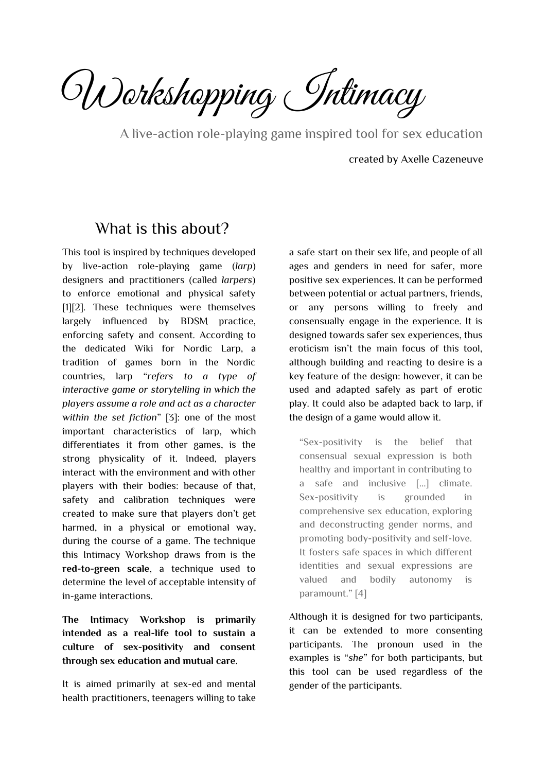Workshopping Intimacy

A live-action role-playing game inspired tool for sex education

created by Axelle Cazeneuve

### What is this about?

<span id="page-0-0"></span>This tool is inspired by techniques developed by live-action role-playing game (*larp*) designers and practitioners (called *larpers*) to enforce emotional and physical safety [1][2]. These techniques were themselves largely influenced by BDSM practice, enforcing safety and consent. According to the dedicated Wiki for Nordic Larp, a tradition of games born in the Nordic countries, larp "*refers to a type of interactive game or storytelling in which the players assume a role and act as a character within the set fiction*" [3]: one of the most important characteristics of larp, which differentiates it from other games, is the strong physicality of it. Indeed, players interact with the environment and with other players with their bodies: because of that, safety and calibration techniques were created to make sure that players don't get harmed, in a physical or emotional way, during the course of a game. The technique this Intimacy Workshop draws from is the **red-to-green scale**, a technique used to determine the level of acceptable intensity of in-game interactions.

**The Intimacy Workshop is primarily intended as a real-life tool to sustain a culture of sex-positivity and consent through sex education and mutual care.**

It is aimed primarily at sex-ed and mental health practitioners, teenagers willing to take

a safe start on their sex life, and people of all ages and genders in need for safer, more positive sex experiences. It can be performed between potential or actual partners, friends, or any persons willing to freely and consensually engage in the experience. It is designed towards safer sex experiences, thus eroticism isn't the main focus of this tool, although building and reacting to desire is a key feature of the design: however, it can be used and adapted safely as part of erotic play. It could also be adapted back to larp, if the design of a game would allow it.

"Sex-positivity is the belief that consensual sexual expression is both healthy and important in contributing to a safe and inclusive [...] climate. Sex-positivity is grounded in comprehensive sex education, exploring and deconstructing gender norms, and promoting body-positivity and self-love. It fosters safe spaces in which different identities and sexual expressions are valued and bodily autonomy is paramount." [4]

Although it is designed for two participants, it can be extended to more consenting participants. The pronoun used in the examples is "*she*" for both participants, but this tool can be used regardless of the gender of the participants.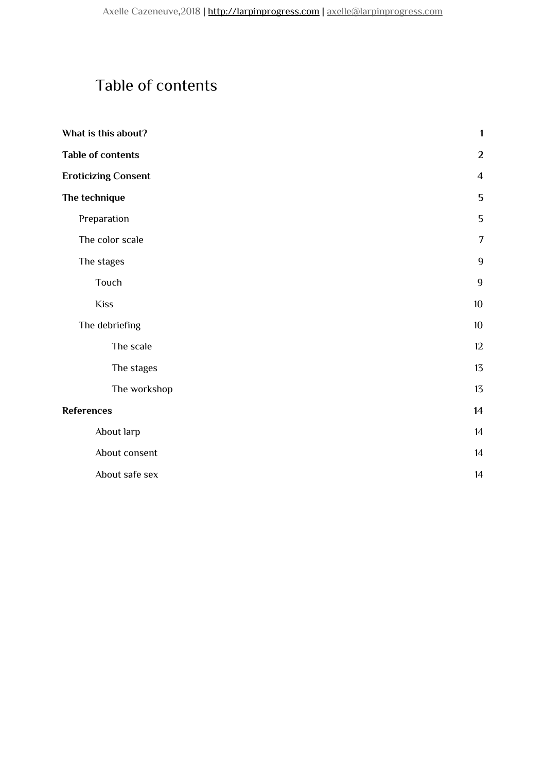# <span id="page-1-0"></span>Table of contents

| What is this about?        | 1                |
|----------------------------|------------------|
| <b>Table of contents</b>   | $\boldsymbol{2}$ |
| <b>Eroticizing Consent</b> | $\overline{4}$   |
| The technique              | 5                |
| Preparation                | 5                |
| The color scale            | $\overline{7}$   |
| The stages                 | $\overline{9}$   |
| Touch                      | $\overline{9}$   |
| <b>Kiss</b>                | 10               |
| The debriefing             | 10               |
| The scale                  | $12 \,$          |
| The stages                 | 13               |
| The workshop               | 13               |
| <b>References</b>          | 14               |
| About larp                 | 14               |
| About consent              | 14               |
| About safe sex             | 14               |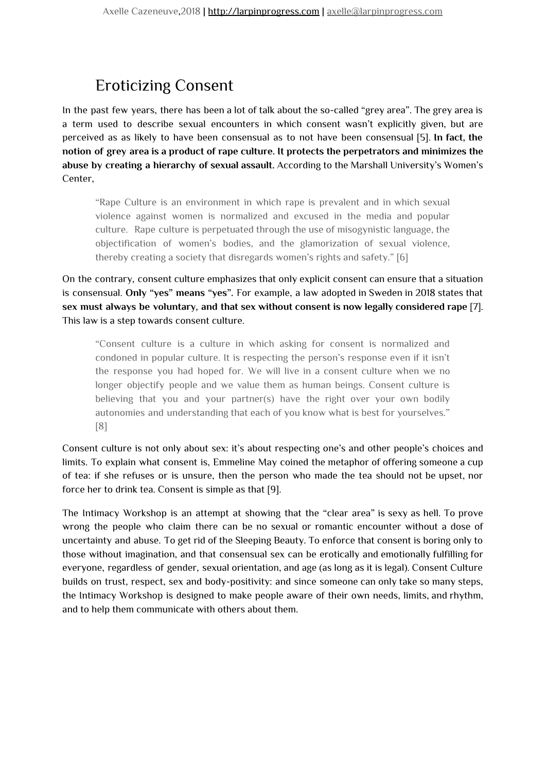# <span id="page-2-0"></span>Eroticizing Consent

In the past few years, there has been a lot of talk about the so-called "grey area". The grey area is a term used to describe sexual encounters in which consent wasn't explicitly given, but are perceived as as likely to have been consensual as to not have been consensual [5]. **In fact, the notion of grey area is a product of rape culture. It protects the perpetrators and minimizes the abuse by creating a hierarchy of sexual assault.** According to the Marshall University's Women's Center,

"Rape Culture is an environment in which rape is prevalent and in which sexual violence against women is normalized and excused in the media and popular culture. Rape culture is perpetuated through the use of misogynistic language, the objectification of women's bodies, and the glamorization of sexual violence, thereby creating a society that disregards women's rights and safety." [6]

On the contrary, consent culture emphasizes that only explicit consent can ensure that a situation is consensual. **Only "yes" means "yes".** For example, a law adopted in Sweden in 2018 states that **sex must always be voluntary, and that sex without consent is now legally considered rape** [7]. This law is a step towards consent culture.

"Consent culture is a culture in which asking for consent is normalized and condoned in popular culture. It is respecting the person's response even if it isn't the response you had hoped for. We will live in a consent culture when we no longer objectify people and we value them as human beings. Consent culture is believing that you and your partner(s) have the right over your own bodily autonomies and understanding that each of you know what is best for yourselves." [8]

Consent culture is not only about sex: it's about respecting one's and other people's choices and limits. To explain what consent is, Emmeline May coined the metaphor of offering someone a cup of tea: if she refuses or is unsure, then the person who made the tea should not be upset, nor force her to drink tea. Consent is simple as that [9].

The Intimacy Workshop is an attempt at showing that the "clear area" is sexy as hell. To prove wrong the people who claim there can be no sexual or romantic encounter without a dose of uncertainty and abuse. To get rid of the Sleeping Beauty. To enforce that consent is boring only to those without imagination, and that consensual sex can be erotically and emotionally fulfilling for everyone, regardless of gender, sexual orientation, and age (as long as it is legal). Consent Culture builds on trust, respect, sex and body-positivity: and since someone can only take so many steps, the Intimacy Workshop is designed to make people aware of their own needs, limits, and rhythm, and to help them communicate with others about them.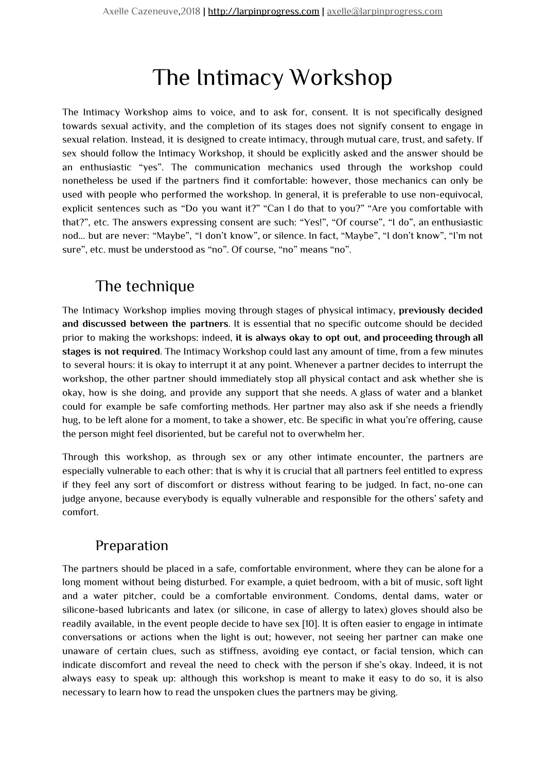# The Intimacy Workshop

The Intimacy Workshop aims to voice, and to ask for, consent. It is not specifically designed towards sexual activity, and the completion of its stages does not signify consent to engage in sexual relation. Instead, it is designed to create intimacy, through mutual care, trust, and safety. If sex should follow the Intimacy Workshop, it should be explicitly asked and the answer should be an enthusiastic "yes". The communication mechanics used through the workshop could nonetheless be used if the partners find it comfortable: however, those mechanics can only be used with people who performed the workshop. In general, it is preferable to use non-equivocal, explicit sentences such as "Do you want it?" "Can I do that to you?" "Are you comfortable with that?", etc. The answers expressing consent are such: "Yes!", "Of course", "I do", an enthusiastic nod... but are never: "Maybe", "I don't know", or silence. In fact, "Maybe", "I don't know", "I'm not sure", etc. must be understood as "no". Of course, "no" means "no".

# <span id="page-3-0"></span>The technique

The Intimacy Workshop implies moving through stages of physical intimacy, **previously decided and discussed between the partners**. It is essential that no specific outcome should be decided prior to making the workshops: indeed, **it is always okay to opt out, and proceeding through all stages is not required**. The Intimacy Workshop could last any amount of time, from a few minutes to several hours: it is okay to interrupt it at any point. Whenever a partner decides to interrupt the workshop, the other partner should immediately stop all physical contact and ask whether she is okay, how is she doing, and provide any support that she needs. A glass of water and a blanket could for example be safe comforting methods. Her partner may also ask if she needs a friendly hug, to be left alone for a moment, to take a shower, etc. Be specific in what you're offering, cause the person might feel disoriented, but be careful not to overwhelm her.

Through this workshop, as through sex or any other intimate encounter, the partners are especially vulnerable to each other: that is why it is crucial that all partners feel entitled to express if they feel any sort of discomfort or distress without fearing to be judged. In fact, no-one can judge anyone, because everybody is equally vulnerable and responsible for the others' safety and comfort.

## <span id="page-3-1"></span>Preparation

The partners should be placed in a safe, comfortable environment, where they can be alone for a long moment without being disturbed. For example, a quiet bedroom, with a bit of music, soft light and a water pitcher, could be a comfortable environment. Condoms, dental dams, water or silicone-based lubricants and latex (or silicone, in case of allergy to latex) gloves should also be readily available, in the event people decide to have sex [10]. It is often easier to engage in intimate conversations or actions when the light is out; however, not seeing her partner can make one unaware of certain clues, such as stiffness, avoiding eye contact, or facial tension, which can indicate discomfort and reveal the need to check with the person if she's okay. Indeed, it is not always easy to speak up: although this workshop is meant to make it easy to do so, it is also necessary to learn how to read the unspoken clues the partners may be giving.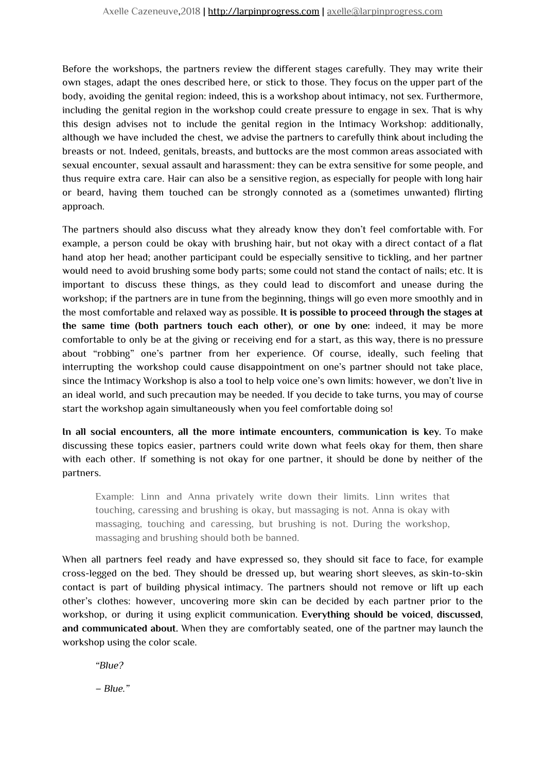Before the workshops, the partners review the different stages carefully. They may write their own stages, adapt the ones described here, or stick to those. They focus on the upper part of the body, avoiding the genital region: indeed, this is a workshop about intimacy, not sex. Furthermore, including the genital region in the workshop could create pressure to engage in sex. That is why this design advises not to include the genital region in the Intimacy Workshop: additionally, although we have included the chest, we advise the partners to carefully think about including the breasts or not. Indeed, genitals, breasts, and buttocks are the most common areas associated with sexual encounter, sexual assault and harassment: they can be extra sensitive for some people, and thus require extra care. Hair can also be a sensitive region, as especially for people with long hair or beard, having them touched can be strongly connoted as a (sometimes unwanted) flirting approach.

The partners should also discuss what they already know they don't feel comfortable with. For example, a person could be okay with brushing hair, but not okay with a direct contact of a flat hand atop her head; another participant could be especially sensitive to tickling, and her partner would need to avoid brushing some body parts; some could not stand the contact of nails; etc. It is important to discuss these things, as they could lead to discomfort and unease during the workshop; if the partners are in tune from the beginning, things will go even more smoothly and in the most comfortable and relaxed way as possible. **It is possible to proceed through the stages at the same time (both partners touch each other), or one by one:** indeed, it may be more comfortable to only be at the giving or receiving end for a start, as this way, there is no pressure about "robbing" one's partner from her experience. Of course, ideally, such feeling that interrupting the workshop could cause disappointment on one's partner should not take place, since the Intimacy Workshop is also a tool to help voice one's own limits: however, we don't live in an ideal world, and such precaution may be needed. If you decide to take turns, you may of course start the workshop again simultaneously when you feel comfortable doing so!

**In all social encounters, all the more intimate encounters, communication is key.** To make discussing these topics easier, partners could write down what feels okay for them, then share with each other. If something is not okay for one partner, it should be done by neither of the partners.

Example: Linn and Anna privately write down their limits. Linn writes that touching, caressing and brushing is okay, but massaging is not. Anna is okay with massaging, touching and caressing, but brushing is not. During the workshop, massaging and brushing should both be banned.

When all partners feel ready and have expressed so, they should sit face to face, for example cross-legged on the bed. They should be dressed up, but wearing short sleeves, as skin-to-skin contact is part of building physical intimacy. The partners should not remove or lift up each other's clothes: however, uncovering more skin can be decided by each partner prior to the workshop, or during it using explicit communication. **Everything should be voiced, discussed, and communicated about.** When they are comfortably seated, one of the partner may launch the workshop using the color scale.

*"Blue?*

*– Blue."*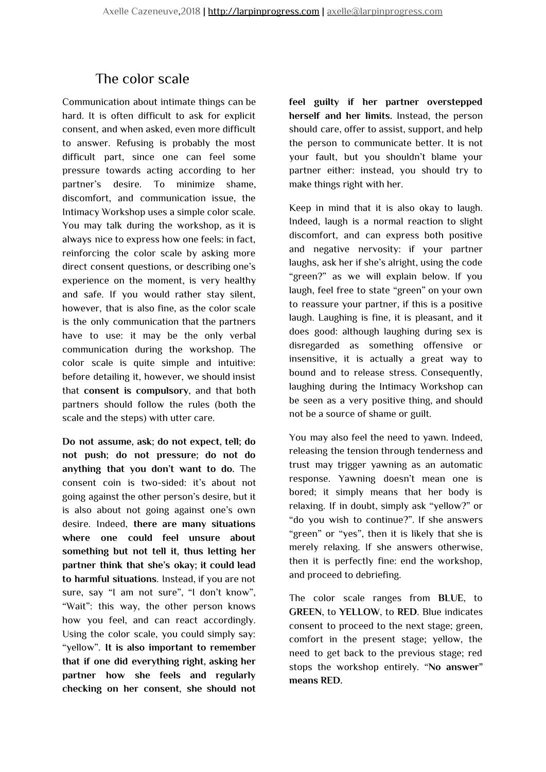### <span id="page-5-0"></span>The color scale

Communication about intimate things can be hard. It is often difficult to ask for explicit consent, and when asked, even more difficult to answer. Refusing is probably the most difficult part, since one can feel some pressure towards acting according to her partner's desire. To minimize shame, discomfort, and communication issue, the Intimacy Workshop uses a simple color scale. You may talk during the workshop, as it is always nice to express how one feels: in fact, reinforcing the color scale by asking more direct consent questions, or describing one's experience on the moment, is very healthy and safe. If you would rather stay silent, however, that is also fine, as the color scale is the only communication that the partners have to use: it may be the only verbal communication during the workshop. The color scale is quite simple and intuitive: before detailing it, however, we should insist that **consent is compulsory**, and that both partners should follow the rules (both the scale and the steps) with utter care.

**Do not assume, ask; do not expect, tell; do not push; do not pressure; do not do anything that you don't want to do.** The consent coin is two-sided: it's about not going against the other person's desire, but it is also about not going against one's own desire. Indeed, **there are many situations where one could feel unsure about something but not tell it, thus letting her partner think that she's okay; it could lead to harmful situations**. Instead, if you are not sure, say "I am not sure", "I don't know", "Wait": this way, the other person knows how you feel, and can react accordingly. Using the color scale, you could simply say: "yellow". **It is also important to remember that if one did everything right, asking her partner how she feels and regularly checking on her consent, she should not** **feel guilty if her partner overstepped herself and her limits.** Instead, the person should care, offer to assist, support, and help the person to communicate better. It is not your fault, but you shouldn't blame your partner either: instead, you should try to make things right with her.

Keep in mind that it is also okay to laugh. Indeed, laugh is a normal reaction to slight discomfort, and can express both positive and negative nervosity: if your partner laughs, ask her if she's alright, using the code "green?" as we will explain below. If you laugh, feel free to state "green" on your own to reassure your partner, if this is a positive laugh. Laughing is fine, it is pleasant, and it does good: although laughing during sex is disregarded as something offensive or insensitive, it is actually a great way to bound and to release stress. Consequently, laughing during the Intimacy Workshop can be seen as a very positive thing, and should not be a source of shame or guilt.

You may also feel the need to yawn. Indeed, releasing the tension through tenderness and trust may trigger yawning as an automatic response. Yawning doesn't mean one is bored; it simply means that her body is relaxing. If in doubt, simply ask "yellow?" or "do you wish to continue?". If she answers "green" or "yes", then it is likely that she is merely relaxing. If she answers otherwise, then it is perfectly fine: end the workshop, and proceed to debriefing.

The color scale ranges from **BLUE**, to **GREEN**, to **YELLOW**, to **RED**. Blue indicates consent to proceed to the next stage; green, comfort in the present stage; yellow, the need to get back to the previous stage; red stops the workshop entirely. "**No answer" means RED.**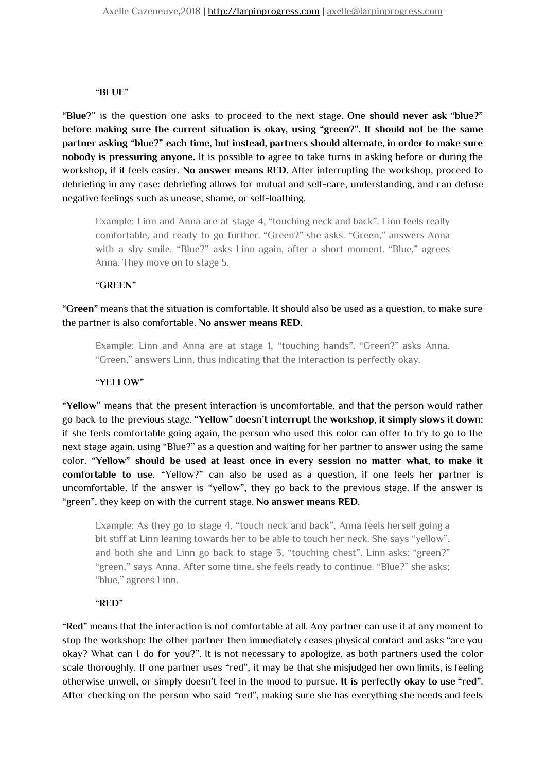#### **"BLUE"**

**"Blue?"** is the question one asks to proceed to the next stage. **One should never ask "blue?" before making sure the current situation is okay, using "green?". It should not be the same partner asking "blue?" each time, but instead, partners should alternate, in order to make sure nobody is pressuring anyone.** It is possible to agree to take turns in asking before or during the workshop, if it feels easier. **No answer means RED.** After interrupting the workshop, proceed to debriefing in any case: debriefing allows for mutual and self-care, understanding, and can defuse negative feelings such as unease, shame, or self-loathing.

Example: Linn and Anna are at stage 4, "touching neck and back". Linn feels really comfortable, and ready to go further. "Green?" she asks. "Green," answers Anna with a shy smile. "Blue?" asks Linn again, after a short moment. "Blue," agrees Anna. They move on to stage 5.

#### **"GREEN"**

**"Green"** means that the situation is comfortable. It should also be used as a question, to make sure the partner is also comfortable. **No answer means RED.**

Example: Linn and Anna are at stage 1, "touching hands". "Green?" asks Anna. "Green," answers Linn, thus indicating that the interaction is perfectly okay.

#### **"YELLOW"**

**"Yellow"** means that the present interaction is uncomfortable, and that the person would rather go back to the previous stage. **"Yellow" doesn't interrupt the workshop, it simply slows it down:** if she feels comfortable going again, the person who used this color can offer to try to go to the next stage again, using "Blue?" as a question and waiting for her partner to answer using the same color. **"Yellow" should be used at least once in every session no matter what, to make it comfortable to use.** "Yellow?" can also be used as a question, if one feels her partner is uncomfortable. If the answer is "yellow", they go back to the previous stage. If the answer is "green", they keep on with the current stage. **No answer means RED.**

Example: As they go to stage 4, "touch neck and back", Anna feels herself going a bit stiff at Linn leaning towards her to be able to touch her neck. She says "yellow", and both she and Linn go back to stage 3, "touching chest". Linn asks: "green?" "green," says Anna. After some time, she feels ready to continue. "Blue?" she asks; "blue," agrees Linn.

#### **"RED"**

**"Red"** means that the interaction is not comfortable at all. Any partner can use it at any moment to stop the workshop: the other partner then immediately ceases physical contact and asks "are you okay? What can I do for you?". It is not necessary to apologize, as both partners used the color scale thoroughly. If one partner uses "red", it may be that she misjudged her own limits, is feeling otherwise unwell, or simply doesn't feel in the mood to pursue. **It is perfectly okay to use "red"**. After checking on the person who said "red", making sure she has everything she needs and feels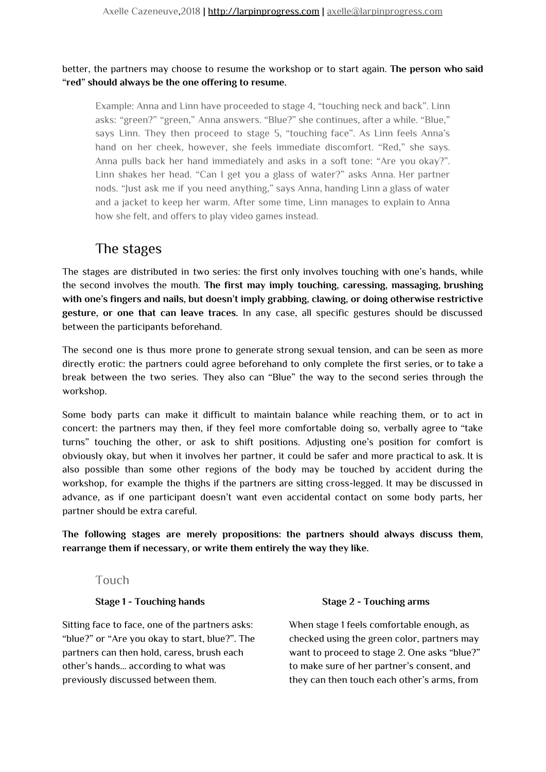#### better, the partners may choose to resume the workshop or to start again. **The person who said "red" should always be the one offering to resume.**

Example: Anna and Linn have proceeded to stage 4, "touching neck and back". Linn asks: "green?" "green," Anna answers. "Blue?" she continues, after a while. "Blue," says Linn. They then proceed to stage 5, "touching face". As Linn feels Anna's hand on her cheek, however, she feels immediate discomfort. "Red," she says. Anna pulls back her hand immediately and asks in a soft tone: "Are you okay?". Linn shakes her head. "Can I get you a glass of water?" asks Anna. Her partner nods. "Just ask me if you need anything," says Anna, handing Linn a glass of water and a jacket to keep her warm. After some time, Linn manages to explain to Anna how she felt, and offers to play video games instead.

### <span id="page-7-0"></span>The stages

The stages are distributed in two series: the first only involves touching with one's hands, while the second involves the mouth. **The first may imply touching, caressing, massaging, brushing with one's fingers and nails, but doesn't imply grabbing, clawing, or doing otherwise restrictive gesture, or one that can leave traces.** In any case, all specific gestures should be discussed between the participants beforehand.

The second one is thus more prone to generate strong sexual tension, and can be seen as more directly erotic: the partners could agree beforehand to only complete the first series, or to take a break between the two series. They also can "Blue" the way to the second series through the workshop.

Some body parts can make it difficult to maintain balance while reaching them, or to act in concert: the partners may then, if they feel more comfortable doing so, verbally agree to "take turns" touching the other, or ask to shift positions. Adjusting one's position for comfort is obviously okay, but when it involves her partner, it could be safer and more practical to ask. It is also possible than some other regions of the body may be touched by accident during the workshop, for example the thighs if the partners are sitting cross-legged. It may be discussed in advance, as if one participant doesn't want even accidental contact on some body parts, her partner should be extra careful.

**The following stages are merely propositions: the partners should always discuss them, rearrange them if necessary, or write them entirely the way they like.**

#### <span id="page-7-1"></span>Touch

#### **Stage 1 - Touching hands**

Sitting face to face, one of the partners asks: "blue?" or "Are you okay to start, blue?". The partners can then hold, caress, brush each other's hands… according to what was previously discussed between them.

#### **Stage 2 - Touching arms**

When stage 1 feels comfortable enough, as checked using the green color, partners may want to proceed to stage 2. One asks "blue?" to make sure of her partner's consent, and they can then touch each other's arms, from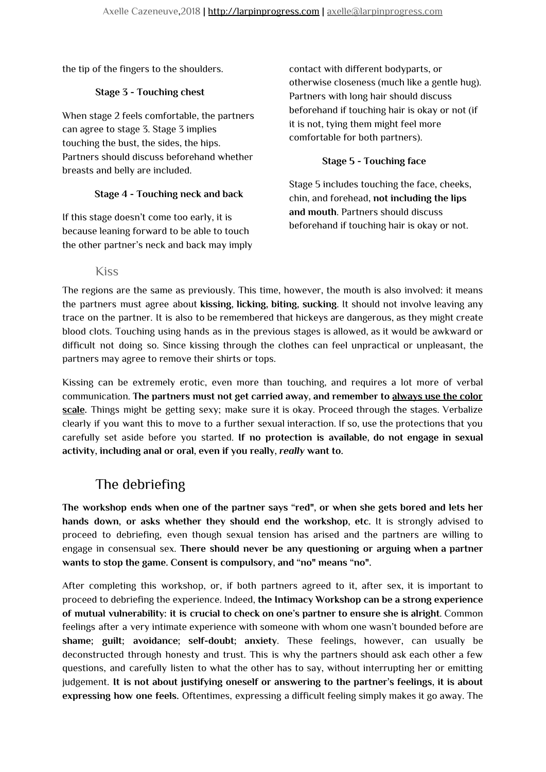the tip of the fingers to the shoulders.

#### **Stage 3 - Touching chest**

When stage 2 feels comfortable, the partners can agree to stage 3. Stage 3 implies touching the bust, the sides, the hips. Partners should discuss beforehand whether breasts and belly are included.

#### **Stage 4 - Touching neck and back**

If this stage doesn't come too early, it is because leaning forward to be able to touch the other partner's neck and back may imply contact with different bodyparts, or otherwise closeness (much like a gentle hug). Partners with long hair should discuss beforehand if touching hair is okay or not (if it is not, tying them might feel more comfortable for both partners).

#### **Stage 5 - Touching face**

Stage 5 includes touching the face, cheeks, chin, and forehead, **not including the lips and mouth**. Partners should discuss beforehand if touching hair is okay or not.

#### Kiss

<span id="page-8-0"></span>The regions are the same as previously. This time, however, the mouth is also involved: it means the partners must agree about **kissing, licking, biting, sucking**. It should not involve leaving any trace on the partner. It is also to be remembered that hickeys are dangerous, as they might create blood clots. Touching using hands as in the previous stages is allowed, as it would be awkward or difficult not doing so. Since kissing through the clothes can feel unpractical or unpleasant, the partners may agree to remove their shirts or tops.

Kissing can be extremely erotic, even more than touching, and requires a lot more of verbal communication. **The partners must not get carried away, and remember to always use the color scale.** Things might be getting sexy; make sure it is okay. Proceed through the stages. Verbalize clearly if you want this to move to a further sexual interaction. If so, use the protections that you carefully set aside before you started. **If no protection is available, do not engage in sexual activity, including anal or oral, even if you really,** *really* **want to.**

### <span id="page-8-1"></span>The debriefing

**The workshop ends when one of the partner says "red", or when she gets bored and lets her hands down, or asks whether they should end the workshop, etc.** It is strongly advised to proceed to debriefing, even though sexual tension has arised and the partners are willing to engage in consensual sex. **There should never be any questioning or arguing when a partner wants to stop the game. Consent is compulsory, and "no" means "no".**

After completing this workshop, or, if both partners agreed to it, after sex, it is important to proceed to debriefing the experience. Indeed, **the Intimacy Workshop can be a strong experience of mutual vulnerability: it is crucial to check on one's partner to ensure she is alright**. Common feelings after a very intimate experience with someone with whom one wasn't bounded before are **shame; guilt; avoidance; self-doubt; anxiety**. These feelings, however, can usually be deconstructed through honesty and trust. This is why the partners should ask each other a few questions, and carefully listen to what the other has to say, without interrupting her or emitting judgement. **It is not about justifying oneself or answering to the partner's feelings, it is about expressing how one feels.** Oftentimes, expressing a difficult feeling simply makes it go away. The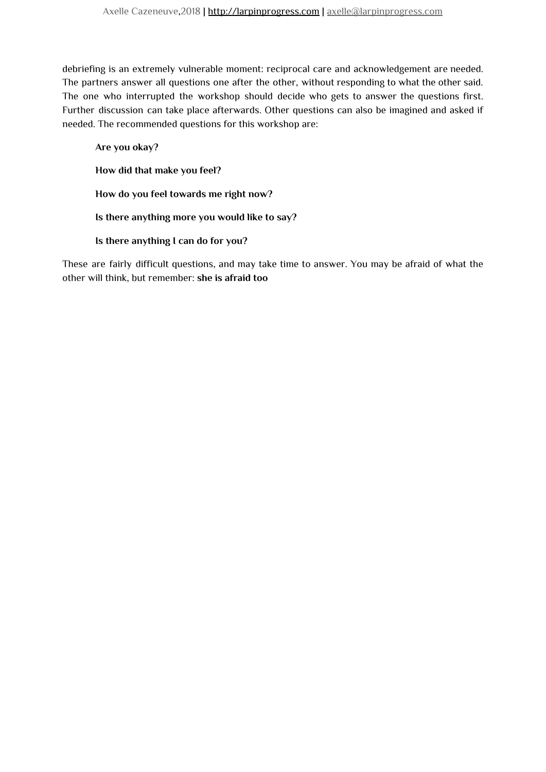debriefing is an extremely vulnerable moment: reciprocal care and acknowledgement are needed. The partners answer all questions one after the other, without responding to what the other said. The one who interrupted the workshop should decide who gets to answer the questions first. Further discussion can take place afterwards. Other questions can also be imagined and asked if needed. The recommended questions for this workshop are:

**Are you okay? How did that make you feel? How do you feel towards me right now? Is there anything more you would like to say? Is there anything I can do for you?**

These are fairly difficult questions, and may take time to answer. You may be afraid of what the other will think, but remember: **she is afraid too**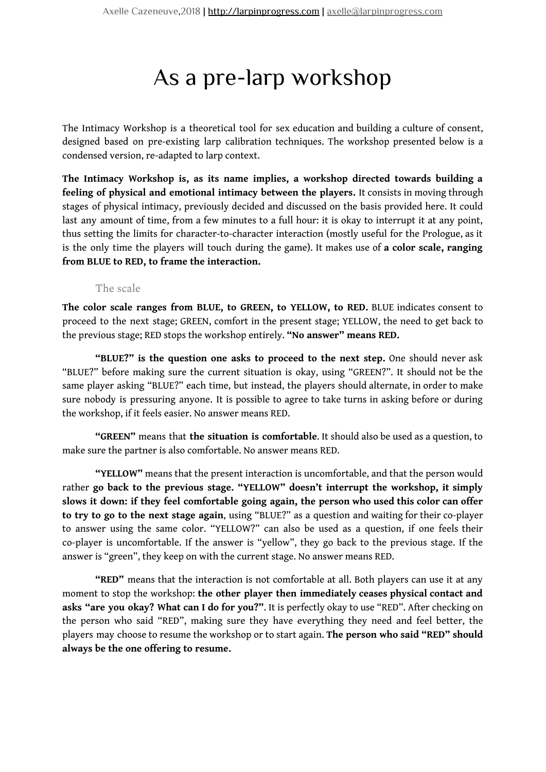# As a pre-larp workshop

The Intimacy Workshop is a theoretical tool for sex education and building a culture of consent, designed based on pre-existing larp calibration techniques. The workshop presented below is a condensed version, re-adapted to larp context.

**The Intimacy Workshop is, as its name implies, a workshop directed towards building a feeling of physical and emotional intimacy between the players.** It consists in moving through stages of physical intimacy, previously decided and discussed on the basis provided here. It could last any amount of time, from a few minutes to a full hour: it is okay to interrupt it at any point, thus setting the limits for character-to-character interaction (mostly useful for the Prologue, as it is the only time the players will touch during the game). It makes use of **a color scale, ranging from BLUE to RED, to frame the interaction.**

#### The scale

<span id="page-10-0"></span>**The color scale ranges from BLUE, to GREEN, to YELLOW, to RED.** BLUE indicates consent to proceed to the next stage; GREEN, comfort in the present stage; YELLOW, the need to get back to the previous stage; RED stops the workshop entirely. **"No answer" means RED.**

**"BLUE?" is the question one asks to proceed to the next step.** One should never ask "BLUE?" before making sure the current situation is okay, using "GREEN?". It should not be the same player asking "BLUE?" each time, but instead, the players should alternate, in order to make sure nobody is pressuring anyone. It is possible to agree to take turns in asking before or during the workshop, if it feels easier. No answer means RED.

**"GREEN"** means that **the situation is comfortable**. It should also be used as a question, to make sure the partner is also comfortable. No answer means RED.

**"YELLOW"** means that the present interaction is uncomfortable, and that the person would rather **go back to the previous stage. "YELLOW" doesn't interrupt the workshop, it simply slows it down: if they feel comfortable going again, the person who used this color can offer to try to go to the next stage again**, using "BLUE?" as a question and waiting for their co-player to answer using the same color. "YELLOW?" can also be used as a question, if one feels their co-player is uncomfortable. If the answer is "yellow", they go back to the previous stage. If the answer is "green", they keep on with the current stage. No answer means RED.

**"RED"** means that the interaction is not comfortable at all. Both players can use it at any moment to stop the workshop: **the other player then immediately ceases physical contact and asks "are you okay? What can I do for you?"**. It is perfectly okay to use "RED". After checking on the person who said "RED", making sure they have everything they need and feel better, the players may choose to resume the workshop or to start again. **The person who said "RED" should always be the one offering to resume.**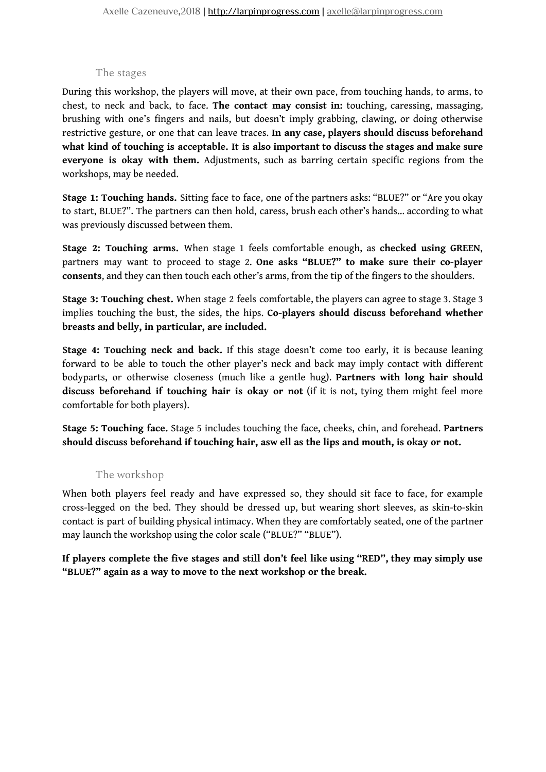#### The stages

<span id="page-11-0"></span>During this workshop, the players will move, at their own pace, from touching hands, to arms, to chest, to neck and back, to face. **The contact may consist in:** touching, caressing, massaging, brushing with one's fingers and nails, but doesn't imply grabbing, clawing, or doing otherwise restrictive gesture, or one that can leave traces. **In any case, players should discuss beforehand what kind of touching is acceptable. It is also important to discuss the stages and make sure everyone is okay with them.** Adjustments, such as barring certain specific regions from the workshops, may be needed.

**Stage 1: Touching hands.** Sitting face to face, one of the partners asks: "BLUE?" or "Are you okay to start, BLUE?". The partners can then hold, caress, brush each other's hands… according to what was previously discussed between them.

**Stage 2: Touching arms.** When stage 1 feels comfortable enough, as **checked using GREEN**, partners may want to proceed to stage 2. **One asks "BLUE?" to make sure their co-player consents**, and they can then touch each other's arms, from the tip of the fingers to the shoulders.

**Stage 3: Touching chest.** When stage 2 feels comfortable, the players can agree to stage 3. Stage 3 implies touching the bust, the sides, the hips. **Co-players should discuss beforehand whether breasts and belly, in particular, are included.**

**Stage 4: Touching neck and back.** If this stage doesn't come too early, it is because leaning forward to be able to touch the other player's neck and back may imply contact with different bodyparts, or otherwise closeness (much like a gentle hug). **Partners with long hair should discuss beforehand if touching hair is okay or not** (if it is not, tying them might feel more comfortable for both players).

**Stage 5: Touching face.** Stage 5 includes touching the face, cheeks, chin, and forehead. **Partners should discuss beforehand if touching hair, asw ell as the lips and mouth, is okay or not.**

#### The workshop

<span id="page-11-1"></span>When both players feel ready and have expressed so, they should sit face to face, for example cross-legged on the bed. They should be dressed up, but wearing short sleeves, as skin-to-skin contact is part of building physical intimacy. When they are comfortably seated, one of the partner may launch the workshop using the color scale ("BLUE?" "BLUE").

**If players complete the five stages and still don't feel like using "RED", they may simply use "BLUE?" again as a way to move to the next workshop or the break.**